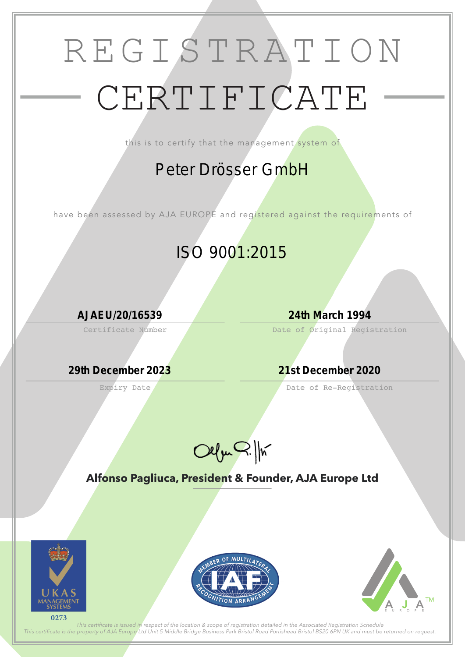## REGISTRATION CERTIFICATE

this is to certify that the management system of

Certificate Number

Expiry Date

Date of Original Registration

Date of Re-Registration



**Alfonso Pagliuca, President & Founder, AJA Europe Ltd**



*This certifcate is issued in respect of the location & scope of registration detailed in the Associated Registration Schedule This certifcate is the property of AJA Europe Ltd Unit 5 Middle Bridge Business Park Bristol Road Portishead Bristol BS20 6PN UK and must be returned on request.*

### *Peter Drösser GmbH*

have been assessed by AJA EUROPE and registered against the requirements of

### *ISO 9001:2015*

*AJAEU/20/16539 24th March 1994*

*29th December 2023 21st December 2020*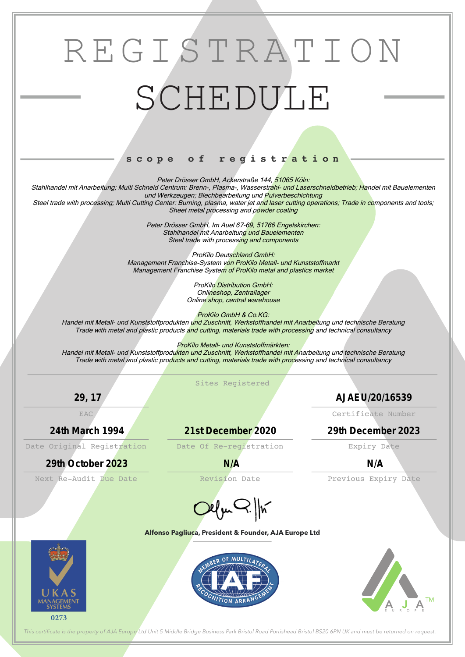# REGISTRATION SCHEDULE

### **s c o p e o f r e g i s t r a t i o n**

#### **Alfonso Pagliuca, President & Founder, AJA Europe Ltd**









*This certifcate is the property of AJA Europe Ltd Unit 5 Middle Bridge Business Park Bristol Road Portishead Bristol BS20 6PN UK and must be returned on request.*

Peter Drösser GmbH, Ackerstraße 144, 51065 Köln:

Stahlhandel mit Anarbeitung; Multi Schneid Centrum: Brenn-, Plasma-, Wasserstrahl- und Laserschneidbetrieb; Handel mit Bauelementen und Werkzeugen; Blechbearbeitung und Pulverbeschichtung

Steel trade with processing; Multi Cutting Center: Burning, plasma, water jet and laser cutting operations; Trade in components and tools; Sheet metal processing and powder coating

> Peter Drösser GmbH, Im Auel 67-69, 51766 Engelskirchen: Stahlhandel mit Anarbeitung und Bauelementen Steel trade with processing and components

ProKilo GmbH & Co.KG: Handel mit Metall- und Kunststoffprodukten und Zuschnitt, Werkstoffhandel mit Anarbeitung und technische Beratung Trade with metal and plastic products and cutting, materials trade with processing and technical consultancy

Sites Registered Next Re-Audit Due Date **Revision Date** Previous Expiry Date Date Original Registration bate Of Re-registration Expiry Date EAC Certificate Number *29, 17 AJAEU/20/16539 24th March 1994 21st December 2020 29th December 2023 29th October 2023 N/A N/A*



ProKilo Deutschland GmbH: Management Franchise-System von ProKilo Metall- und Kunststoffmarkt Management Franchise System of ProKilo metal and plastics market

> ProKilo Distribution GmbH: Onlineshop, Zentrallager Online shop, central warehouse

ProKilo Metall- und Kunststoffmärkten:

Handel mit Metall- und Kunststoffprodukten und Zuschnitt, Werkstoffhandel mit Anarbeitung und technische Beratung Trade with metal and plastic products and cutting, materials trade with processing and technical consultancy